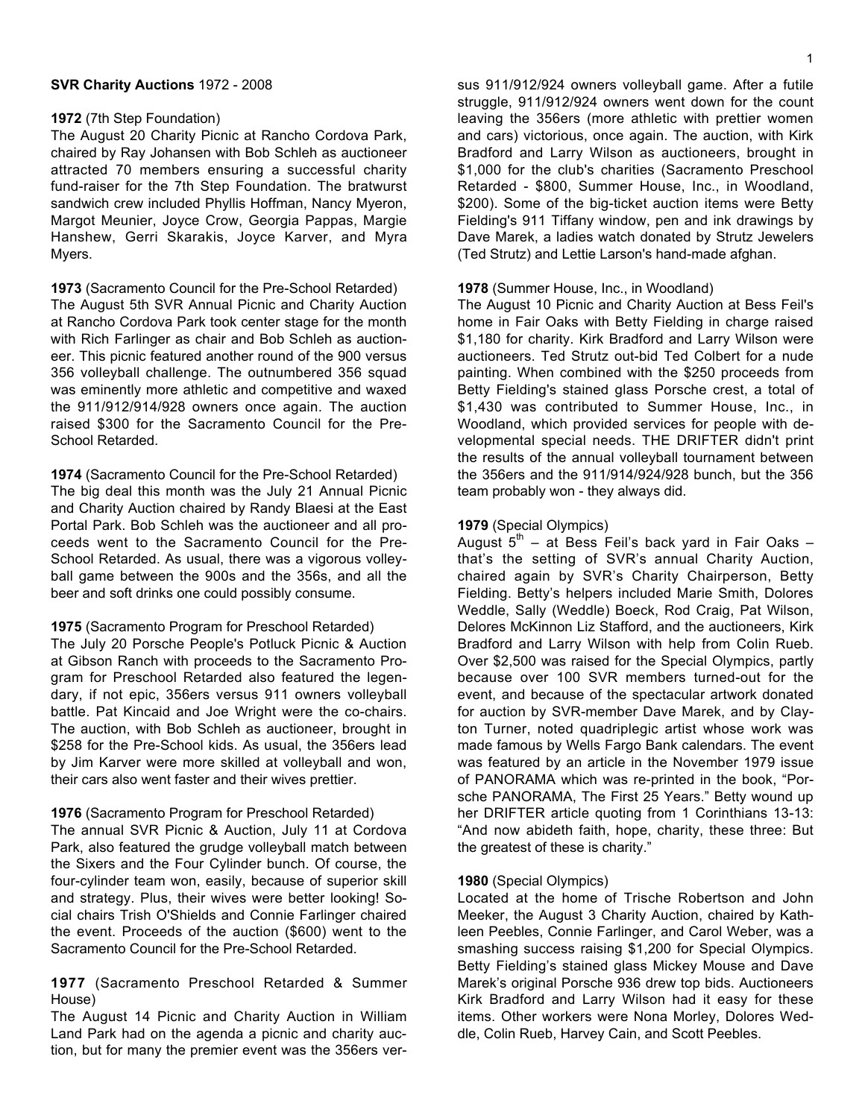#### **SVR Charity Auctions** 1972 - 2008

#### **1972** (7th Step Foundation)

The August 20 Charity Picnic at Rancho Cordova Park, chaired by Ray Johansen with Bob Schleh as auctioneer attracted 70 members ensuring a successful charity fund-raiser for the 7th Step Foundation. The bratwurst sandwich crew included Phyllis Hoffman, Nancy Myeron, Margot Meunier, Joyce Crow, Georgia Pappas, Margie Hanshew, Gerri Skarakis, Joyce Karver, and Myra Myers.

**1973** (Sacramento Council for the Pre-School Retarded) The August 5th SVR Annual Picnic and Charity Auction at Rancho Cordova Park took center stage for the month with Rich Farlinger as chair and Bob Schleh as auctioneer. This picnic featured another round of the 900 versus 356 volleyball challenge. The outnumbered 356 squad was eminently more athletic and competitive and waxed the 911/912/914/928 owners once again. The auction raised \$300 for the Sacramento Council for the Pre-School Retarded.

**1974** (Sacramento Council for the Pre-School Retarded) The big deal this month was the July 21 Annual Picnic and Charity Auction chaired by Randy Blaesi at the East Portal Park. Bob Schleh was the auctioneer and all proceeds went to the Sacramento Council for the Pre-School Retarded. As usual, there was a vigorous volleyball game between the 900s and the 356s, and all the beer and soft drinks one could possibly consume.

#### **1975** (Sacramento Program for Preschool Retarded)

The July 20 Porsche People's Potluck Picnic & Auction at Gibson Ranch with proceeds to the Sacramento Program for Preschool Retarded also featured the legendary, if not epic, 356ers versus 911 owners volleyball battle. Pat Kincaid and Joe Wright were the co-chairs. The auction, with Bob Schleh as auctioneer, brought in \$258 for the Pre-School kids. As usual, the 356ers lead by Jim Karver were more skilled at volleyball and won, their cars also went faster and their wives prettier.

## **1976** (Sacramento Program for Preschool Retarded)

The annual SVR Picnic & Auction, July 11 at Cordova Park, also featured the grudge volleyball match between the Sixers and the Four Cylinder bunch. Of course, the four-cylinder team won, easily, because of superior skill and strategy. Plus, their wives were better looking! Social chairs Trish O'Shields and Connie Farlinger chaired the event. Proceeds of the auction (\$600) went to the Sacramento Council for the Pre-School Retarded.

# **1977** (Sacramento Preschool Retarded & Summer House)

The August 14 Picnic and Charity Auction in William Land Park had on the agenda a picnic and charity auction, but for many the premier event was the 356ers versus 911/912/924 owners volleyball game. After a futile struggle, 911/912/924 owners went down for the count leaving the 356ers (more athletic with prettier women and cars) victorious, once again. The auction, with Kirk Bradford and Larry Wilson as auctioneers, brought in \$1,000 for the club's charities (Sacramento Preschool Retarded - \$800, Summer House, Inc., in Woodland, \$200). Some of the big-ticket auction items were Betty Fielding's 911 Tiffany window, pen and ink drawings by Dave Marek, a ladies watch donated by Strutz Jewelers (Ted Strutz) and Lettie Larson's hand-made afghan.

#### **1978** (Summer House, Inc., in Woodland)

The August 10 Picnic and Charity Auction at Bess Feil's home in Fair Oaks with Betty Fielding in charge raised \$1,180 for charity. Kirk Bradford and Larry Wilson were auctioneers. Ted Strutz out-bid Ted Colbert for a nude painting. When combined with the \$250 proceeds from Betty Fielding's stained glass Porsche crest, a total of \$1,430 was contributed to Summer House, Inc., in Woodland, which provided services for people with developmental special needs. THE DRIFTER didn't print the results of the annual volleyball tournament between the 356ers and the 911/914/924/928 bunch, but the 356 team probably won - they always did.

## **1979** (Special Olympics)

August  $5^{th}$  – at Bess Feil's back yard in Fair Oaks – that's the setting of SVR's annual Charity Auction, chaired again by SVR's Charity Chairperson, Betty Fielding. Betty's helpers included Marie Smith, Dolores Weddle, Sally (Weddle) Boeck, Rod Craig, Pat Wilson, Delores McKinnon Liz Stafford, and the auctioneers, Kirk Bradford and Larry Wilson with help from Colin Rueb. Over \$2,500 was raised for the Special Olympics, partly because over 100 SVR members turned-out for the event, and because of the spectacular artwork donated for auction by SVR-member Dave Marek, and by Clayton Turner, noted quadriplegic artist whose work was made famous by Wells Fargo Bank calendars. The event was featured by an article in the November 1979 issue of PANORAMA which was re-printed in the book, "Porsche PANORAMA, The First 25 Years." Betty wound up her DRIFTER article quoting from 1 Corinthians 13-13: "And now abideth faith, hope, charity, these three: But the greatest of these is charity."

#### **1980** (Special Olympics)

Located at the home of Trische Robertson and John Meeker, the August 3 Charity Auction, chaired by Kathleen Peebles, Connie Farlinger, and Carol Weber, was a smashing success raising \$1,200 for Special Olympics. Betty Fielding's stained glass Mickey Mouse and Dave Marek's original Porsche 936 drew top bids. Auctioneers Kirk Bradford and Larry Wilson had it easy for these items. Other workers were Nona Morley, Dolores Weddle, Colin Rueb, Harvey Cain, and Scott Peebles.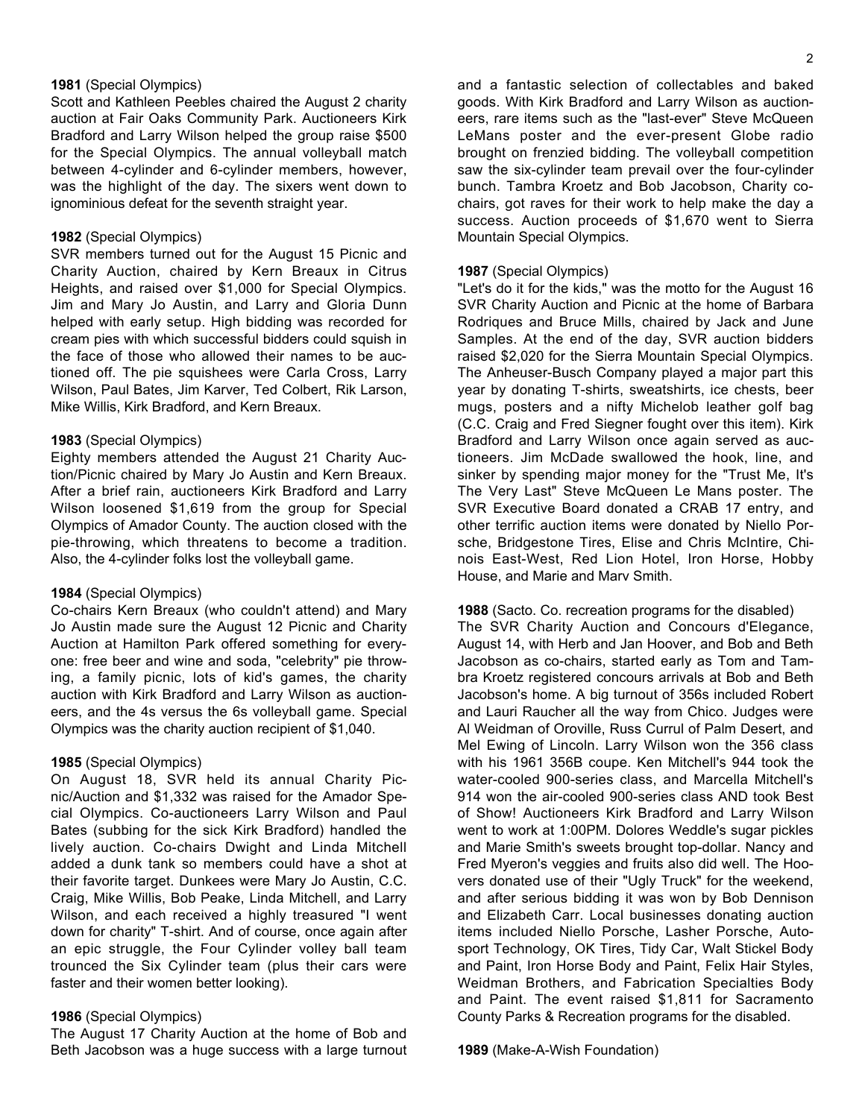## **1981** (Special Olympics)

Scott and Kathleen Peebles chaired the August 2 charity auction at Fair Oaks Community Park. Auctioneers Kirk Bradford and Larry Wilson helped the group raise \$500 for the Special Olympics. The annual volleyball match between 4-cylinder and 6-cylinder members, however, was the highlight of the day. The sixers went down to ignominious defeat for the seventh straight year.

#### **1982** (Special Olympics)

SVR members turned out for the August 15 Picnic and Charity Auction, chaired by Kern Breaux in Citrus Heights, and raised over \$1,000 for Special Olympics. Jim and Mary Jo Austin, and Larry and Gloria Dunn helped with early setup. High bidding was recorded for cream pies with which successful bidders could squish in the face of those who allowed their names to be auctioned off. The pie squishees were Carla Cross, Larry Wilson, Paul Bates, Jim Karver, Ted Colbert, Rik Larson, Mike Willis, Kirk Bradford, and Kern Breaux.

## **1983** (Special Olympics)

Eighty members attended the August 21 Charity Auction/Picnic chaired by Mary Jo Austin and Kern Breaux. After a brief rain, auctioneers Kirk Bradford and Larry Wilson loosened \$1,619 from the group for Special Olympics of Amador County. The auction closed with the pie-throwing, which threatens to become a tradition. Also, the 4-cylinder folks lost the volleyball game.

#### **1984** (Special Olympics)

Co-chairs Kern Breaux (who couldn't attend) and Mary Jo Austin made sure the August 12 Picnic and Charity Auction at Hamilton Park offered something for everyone: free beer and wine and soda, "celebrity" pie throwing, a family picnic, lots of kid's games, the charity auction with Kirk Bradford and Larry Wilson as auctioneers, and the 4s versus the 6s volleyball game. Special Olympics was the charity auction recipient of \$1,040.

## **1985** (Special Olympics)

On August 18, SVR held its annual Charity Picnic/Auction and \$1,332 was raised for the Amador Special Olympics. Co-auctioneers Larry Wilson and Paul Bates (subbing for the sick Kirk Bradford) handled the lively auction. Co-chairs Dwight and Linda Mitchell added a dunk tank so members could have a shot at their favorite target. Dunkees were Mary Jo Austin, C.C. Craig, Mike Willis, Bob Peake, Linda Mitchell, and Larry Wilson, and each received a highly treasured "I went down for charity" T-shirt. And of course, once again after an epic struggle, the Four Cylinder volley ball team trounced the Six Cylinder team (plus their cars were faster and their women better looking).

## **1986** (Special Olympics)

The August 17 Charity Auction at the home of Bob and Beth Jacobson was a huge success with a large turnout

and a fantastic selection of collectables and baked goods. With Kirk Bradford and Larry Wilson as auctioneers, rare items such as the "last-ever" Steve McQueen LeMans poster and the ever-present Globe radio brought on frenzied bidding. The volleyball competition saw the six-cylinder team prevail over the four-cylinder bunch. Tambra Kroetz and Bob Jacobson, Charity cochairs, got raves for their work to help make the day a success. Auction proceeds of \$1,670 went to Sierra Mountain Special Olympics.

#### **1987** (Special Olympics)

"Let's do it for the kids," was the motto for the August 16 SVR Charity Auction and Picnic at the home of Barbara Rodriques and Bruce Mills, chaired by Jack and June Samples. At the end of the day, SVR auction bidders raised \$2,020 for the Sierra Mountain Special Olympics. The Anheuser-Busch Company played a major part this year by donating T-shirts, sweatshirts, ice chests, beer mugs, posters and a nifty Michelob leather golf bag (C.C. Craig and Fred Siegner fought over this item). Kirk Bradford and Larry Wilson once again served as auctioneers. Jim McDade swallowed the hook, line, and sinker by spending major money for the "Trust Me, It's The Very Last" Steve McQueen Le Mans poster. The SVR Executive Board donated a CRAB 17 entry, and other terrific auction items were donated by Niello Porsche, Bridgestone Tires, Elise and Chris McIntire, Chinois East-West, Red Lion Hotel, Iron Horse, Hobby House, and Marie and Marv Smith.

#### **1988** (Sacto. Co. recreation programs for the disabled)

The SVR Charity Auction and Concours d'Elegance, August 14, with Herb and Jan Hoover, and Bob and Beth Jacobson as co-chairs, started early as Tom and Tambra Kroetz registered concours arrivals at Bob and Beth Jacobson's home. A big turnout of 356s included Robert and Lauri Raucher all the way from Chico. Judges were Al Weidman of Oroville, Russ Currul of Palm Desert, and Mel Ewing of Lincoln. Larry Wilson won the 356 class with his 1961 356B coupe. Ken Mitchell's 944 took the water-cooled 900-series class, and Marcella Mitchell's 914 won the air-cooled 900-series class AND took Best of Show! Auctioneers Kirk Bradford and Larry Wilson went to work at 1:00PM. Dolores Weddle's sugar pickles and Marie Smith's sweets brought top-dollar. Nancy and Fred Myeron's veggies and fruits also did well. The Hoovers donated use of their "Ugly Truck" for the weekend, and after serious bidding it was won by Bob Dennison and Elizabeth Carr. Local businesses donating auction items included Niello Porsche, Lasher Porsche, Autosport Technology, OK Tires, Tidy Car, Walt Stickel Body and Paint, Iron Horse Body and Paint, Felix Hair Styles, Weidman Brothers, and Fabrication Specialties Body and Paint. The event raised \$1,811 for Sacramento County Parks & Recreation programs for the disabled.

#### **1989** (Make-A-Wish Foundation)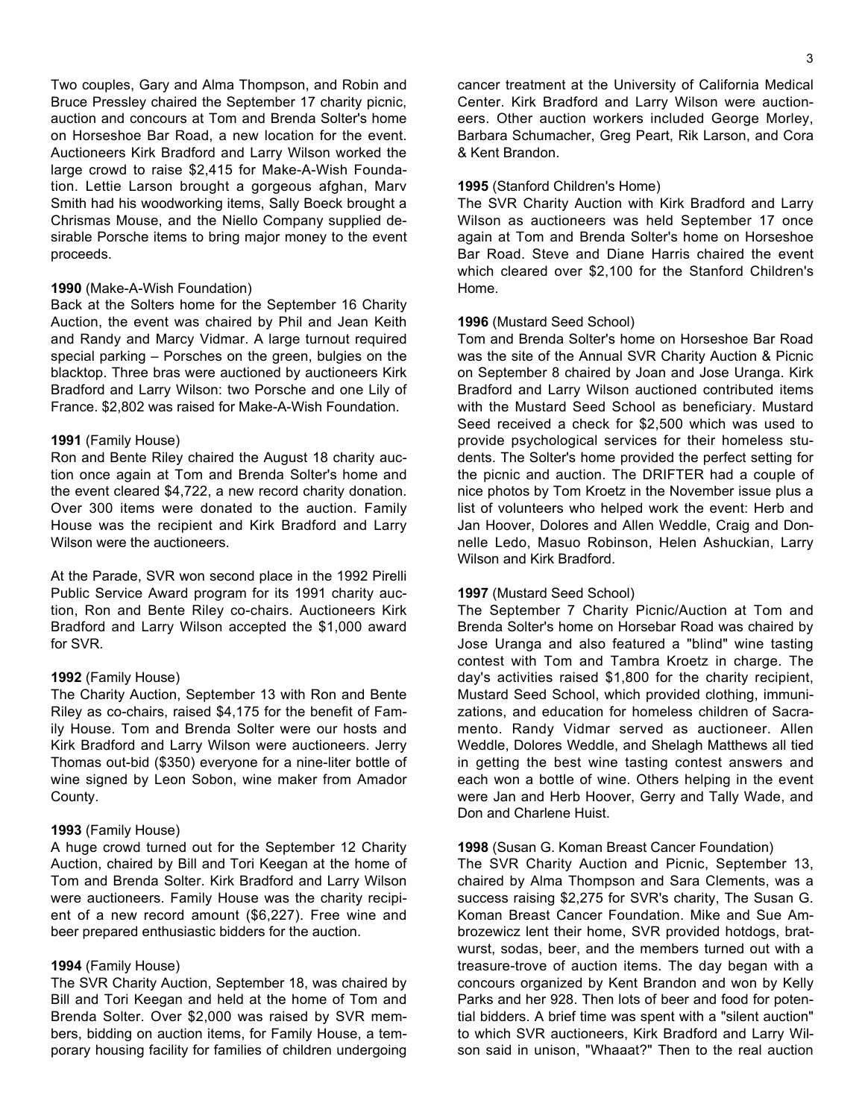Two couples, Gary and Alma Thompson, and Robin and Bruce Pressley chaired the September 17 charity picnic, auction and concours at Tom and Brenda Solter's home on Horseshoe Bar Road, a new location for the event. Auctioneers Kirk Bradford and Larry Wilson worked the large crowd to raise \$2,415 for Make-A-Wish Foundation. Lettie Larson brought a gorgeous afghan, Marv Smith had his woodworking items, Sally Boeck brought a Chrismas Mouse, and the Niello Company supplied desirable Porsche items to bring major money to the event proceeds.

## **1990** (Make-A-Wish Foundation)

Back at the Solters home for the September 16 Charity Auction, the event was chaired by Phil and Jean Keith and Randy and Marcy Vidmar. A large turnout required special parking – Porsches on the green, bulgies on the blacktop. Three bras were auctioned by auctioneers Kirk Bradford and Larry Wilson: two Porsche and one Lily of France. \$2,802 was raised for Make-A-Wish Foundation.

## **1991** (Family House)

Ron and Bente Riley chaired the August 18 charity auction once again at Tom and Brenda Solter's home and the event cleared \$4,722, a new record charity donation. Over 300 items were donated to the auction. Family House was the recipient and Kirk Bradford and Larry Wilson were the auctioneers.

At the Parade, SVR won second place in the 1992 Pirelli Public Service Award program for its 1991 charity auction, Ron and Bente Riley co-chairs. Auctioneers Kirk Bradford and Larry Wilson accepted the \$1,000 award for SVR.

## **1992** (Family House)

The Charity Auction, September 13 with Ron and Bente Riley as co-chairs, raised \$4,175 for the benefit of Family House. Tom and Brenda Solter were our hosts and Kirk Bradford and Larry Wilson were auctioneers. Jerry Thomas out-bid (\$350) everyone for a nine-liter bottle of wine signed by Leon Sobon, wine maker from Amador County.

## **1993** (Family House)

A huge crowd turned out for the September 12 Charity Auction, chaired by Bill and Tori Keegan at the home of Tom and Brenda Solter. Kirk Bradford and Larry Wilson were auctioneers. Family House was the charity recipient of a new record amount (\$6,227). Free wine and beer prepared enthusiastic bidders for the auction.

### **1994** (Family House)

The SVR Charity Auction, September 18, was chaired by Bill and Tori Keegan and held at the home of Tom and Brenda Solter. Over \$2,000 was raised by SVR members, bidding on auction items, for Family House, a temporary housing facility for families of children undergoing

cancer treatment at the University of California Medical Center. Kirk Bradford and Larry Wilson were auctioneers. Other auction workers included George Morley, Barbara Schumacher, Greg Peart, Rik Larson, and Cora & Kent Brandon.

## **1995** (Stanford Children's Home)

The SVR Charity Auction with Kirk Bradford and Larry Wilson as auctioneers was held September 17 once again at Tom and Brenda Solter's home on Horseshoe Bar Road. Steve and Diane Harris chaired the event which cleared over \$2,100 for the Stanford Children's Home.

## **1996** (Mustard Seed School)

Tom and Brenda Solter's home on Horseshoe Bar Road was the site of the Annual SVR Charity Auction & Picnic on September 8 chaired by Joan and Jose Uranga. Kirk Bradford and Larry Wilson auctioned contributed items with the Mustard Seed School as beneficiary. Mustard Seed received a check for \$2,500 which was used to provide psychological services for their homeless students. The Solter's home provided the perfect setting for the picnic and auction. The DRIFTER had a couple of nice photos by Tom Kroetz in the November issue plus a list of volunteers who helped work the event: Herb and Jan Hoover, Dolores and Allen Weddle, Craig and Donnelle Ledo, Masuo Robinson, Helen Ashuckian, Larry Wilson and Kirk Bradford.

## **1997** (Mustard Seed School)

The September 7 Charity Picnic/Auction at Tom and Brenda Solter's home on Horsebar Road was chaired by Jose Uranga and also featured a "blind" wine tasting contest with Tom and Tambra Kroetz in charge. The day's activities raised \$1,800 for the charity recipient, Mustard Seed School, which provided clothing, immunizations, and education for homeless children of Sacramento. Randy Vidmar served as auctioneer. Allen Weddle, Dolores Weddle, and Shelagh Matthews all tied in getting the best wine tasting contest answers and each won a bottle of wine. Others helping in the event were Jan and Herb Hoover, Gerry and Tally Wade, and Don and Charlene Huist.

## **1998** (Susan G. Koman Breast Cancer Foundation)

The SVR Charity Auction and Picnic, September 13, chaired by Alma Thompson and Sara Clements, was a success raising \$2,275 for SVR's charity, The Susan G. Koman Breast Cancer Foundation. Mike and Sue Ambrozewicz lent their home, SVR provided hotdogs, bratwurst, sodas, beer, and the members turned out with a treasure-trove of auction items. The day began with a concours organized by Kent Brandon and won by Kelly Parks and her 928. Then lots of beer and food for potential bidders. A brief time was spent with a "silent auction" to which SVR auctioneers, Kirk Bradford and Larry Wilson said in unison, "Whaaat?" Then to the real auction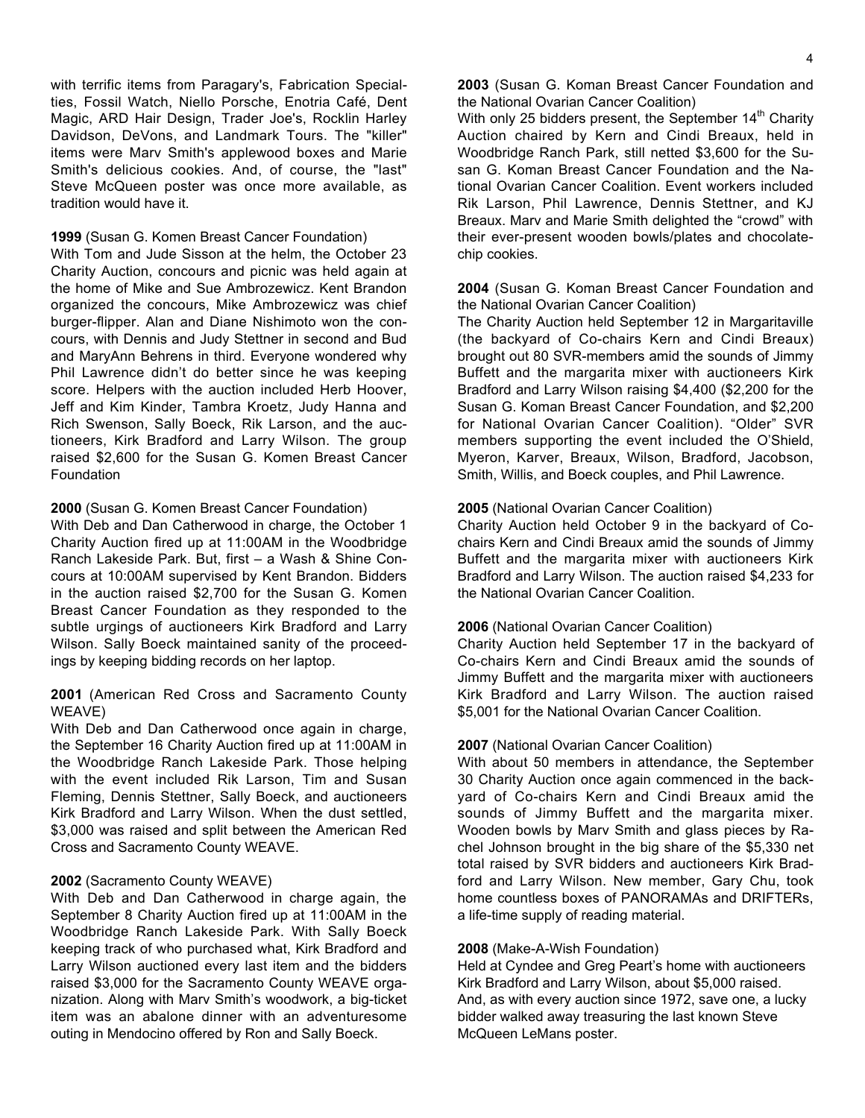#### **1999** (Susan G. Komen Breast Cancer Foundation)

With Tom and Jude Sisson at the helm, the October 23 Charity Auction, concours and picnic was held again at the home of Mike and Sue Ambrozewicz. Kent Brandon organized the concours, Mike Ambrozewicz was chief burger-flipper. Alan and Diane Nishimoto won the concours, with Dennis and Judy Stettner in second and Bud and MaryAnn Behrens in third. Everyone wondered why Phil Lawrence didn't do better since he was keeping score. Helpers with the auction included Herb Hoover, Jeff and Kim Kinder, Tambra Kroetz, Judy Hanna and Rich Swenson, Sally Boeck, Rik Larson, and the auctioneers, Kirk Bradford and Larry Wilson. The group raised \$2,600 for the Susan G. Komen Breast Cancer Foundation

## **2000** (Susan G. Komen Breast Cancer Foundation)

With Deb and Dan Catherwood in charge, the October 1 Charity Auction fired up at 11:00AM in the Woodbridge Ranch Lakeside Park. But, first – a Wash & Shine Concours at 10:00AM supervised by Kent Brandon. Bidders in the auction raised \$2,700 for the Susan G. Komen Breast Cancer Foundation as they responded to the subtle urgings of auctioneers Kirk Bradford and Larry Wilson. Sally Boeck maintained sanity of the proceedings by keeping bidding records on her laptop.

# **2001** (American Red Cross and Sacramento County WEAVE)

With Deb and Dan Catherwood once again in charge, the September 16 Charity Auction fired up at 11:00AM in the Woodbridge Ranch Lakeside Park. Those helping with the event included Rik Larson, Tim and Susan Fleming, Dennis Stettner, Sally Boeck, and auctioneers Kirk Bradford and Larry Wilson. When the dust settled, \$3,000 was raised and split between the American Red Cross and Sacramento County WEAVE.

# **2002** (Sacramento County WEAVE)

With Deb and Dan Catherwood in charge again, the September 8 Charity Auction fired up at 11:00AM in the Woodbridge Ranch Lakeside Park. With Sally Boeck keeping track of who purchased what, Kirk Bradford and Larry Wilson auctioned every last item and the bidders raised \$3,000 for the Sacramento County WEAVE organization. Along with Marv Smith's woodwork, a big-ticket item was an abalone dinner with an adventuresome outing in Mendocino offered by Ron and Sally Boeck.

**2003** (Susan G. Koman Breast Cancer Foundation and the National Ovarian Cancer Coalition)

With only 25 bidders present, the September 14<sup>th</sup> Charity Auction chaired by Kern and Cindi Breaux, held in Woodbridge Ranch Park, still netted \$3,600 for the Susan G. Koman Breast Cancer Foundation and the National Ovarian Cancer Coalition. Event workers included Rik Larson, Phil Lawrence, Dennis Stettner, and KJ Breaux. Marv and Marie Smith delighted the "crowd" with their ever-present wooden bowls/plates and chocolatechip cookies.

# **2004** (Susan G. Koman Breast Cancer Foundation and the National Ovarian Cancer Coalition)

The Charity Auction held September 12 in Margaritaville (the backyard of Co-chairs Kern and Cindi Breaux) brought out 80 SVR-members amid the sounds of Jimmy Buffett and the margarita mixer with auctioneers Kirk Bradford and Larry Wilson raising \$4,400 (\$2,200 for the Susan G. Koman Breast Cancer Foundation, and \$2,200 for National Ovarian Cancer Coalition). "Older" SVR members supporting the event included the O'Shield, Myeron, Karver, Breaux, Wilson, Bradford, Jacobson, Smith, Willis, and Boeck couples, and Phil Lawrence.

## **2005** (National Ovarian Cancer Coalition)

Charity Auction held October 9 in the backyard of Cochairs Kern and Cindi Breaux amid the sounds of Jimmy Buffett and the margarita mixer with auctioneers Kirk Bradford and Larry Wilson. The auction raised \$4,233 for the National Ovarian Cancer Coalition.

## **2006** (National Ovarian Cancer Coalition)

Charity Auction held September 17 in the backyard of Co-chairs Kern and Cindi Breaux amid the sounds of Jimmy Buffett and the margarita mixer with auctioneers Kirk Bradford and Larry Wilson. The auction raised \$5,001 for the National Ovarian Cancer Coalition.

## **2007** (National Ovarian Cancer Coalition)

With about 50 members in attendance, the September 30 Charity Auction once again commenced in the backyard of Co-chairs Kern and Cindi Breaux amid the sounds of Jimmy Buffett and the margarita mixer. Wooden bowls by Marv Smith and glass pieces by Rachel Johnson brought in the big share of the \$5,330 net total raised by SVR bidders and auctioneers Kirk Bradford and Larry Wilson. New member, Gary Chu, took home countless boxes of PANORAMAs and DRIFTERs, a life-time supply of reading material.

## **2008** (Make-A-Wish Foundation)

Held at Cyndee and Greg Peart's home with auctioneers Kirk Bradford and Larry Wilson, about \$5,000 raised. And, as with every auction since 1972, save one, a lucky bidder walked away treasuring the last known Steve McQueen LeMans poster.